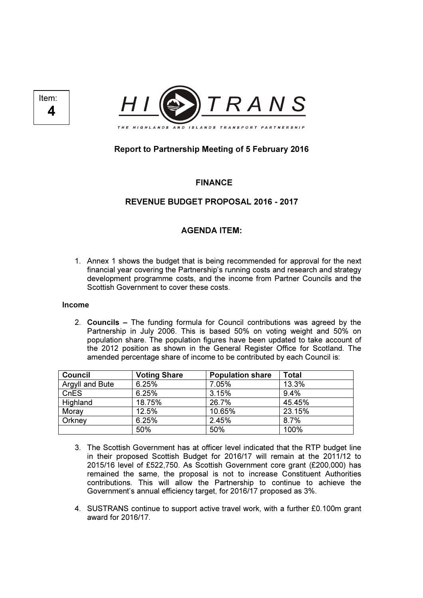



# Report to Partnership Meeting of 5 February 2016

FINANCE

## REVENUE BUDGET PROPOSAL 2016 - 2017

## AGENDA ITEM:

1. Annex 1 shows the budget that is being recommended for approval for the next financial year covering the Partnership's running costs and research and strategy development programme costs, and the income from Partner Councils and the Scottish Government to cover these costs.

#### Income

2. Councils – The funding formula for Council contributions was agreed by the Partnership in July 2006. This is based 50% on voting weight and 50% on population share. The population figures have been updated to take account of the 2012 position as shown in the General Register Office for Scotland. The amended percentage share of income to be contributed by each Council is:

| Council         | <b>Voting Share</b> | <b>Population share</b> | Total  |
|-----------------|---------------------|-------------------------|--------|
| Argyll and Bute | 6.25%               | 7.05%                   | 13.3%  |
| CnES            | 6.25%               | 3.15%                   | 9.4%   |
| Highland        | 18.75%              | 26.7%                   | 45.45% |
| Moray           | 12.5%               | 10.65%                  | 23.15% |
| Orkney          | 6.25%               | 2.45%                   | 8.7%   |
|                 | 50%                 | 50%                     | 100%   |

- 3. The Scottish Government has at officer level indicated that the RTP budget line in their proposed Scottish Budget for 2016/17 will remain at the 2011/12 to 2015/16 level of £522,750. As Scottish Government core grant (£200,000) has remained the same, the proposal is not to increase Constituent Authorities contributions. This will allow the Partnership to continue to achieve the Government's annual efficiency target, for 2016/17 proposed as 3%.
- 4. SUSTRANS continue to support active travel work, with a further £0.100m grant award for 2016/17.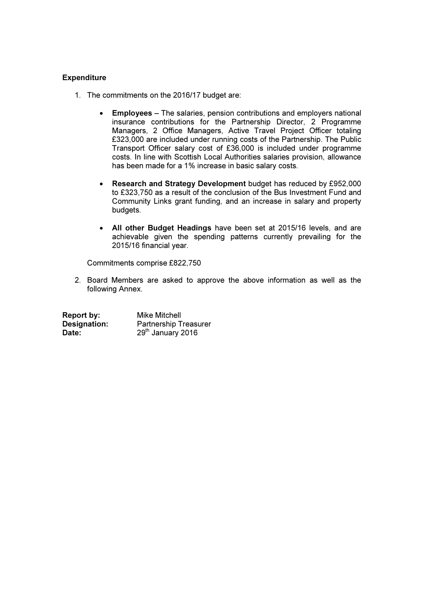### **Expenditure**

- 1. The commitments on the 2016/17 budget are:
	- Employees The salaries, pension contributions and employers national insurance contributions for the Partnership Director, 2 Programme Managers, 2 Office Managers, Active Travel Project Officer totaling £323,000 are included under running costs of the Partnership. The Public Transport Officer salary cost of £36,000 is included under programme costs. In line with Scottish Local Authorities salaries provision, allowance has been made for a 1% increase in basic salary costs.
	- Research and Strategy Development budget has reduced by £952,000 to £323,750 as a result of the conclusion of the Bus Investment Fund and Community Links grant funding, and an increase in salary and property budgets.
	- All other Budget Headings have been set at 2015/16 levels, and are achievable given the spending patterns currently prevailing for the 2015/16 financial year.

Commitments comprise £822,750

2. Board Members are asked to approve the above information as well as the following Annex.

| Report by:   | <b>Mike Mitchell</b>          |
|--------------|-------------------------------|
| Designation: | <b>Partnership Treasurer</b>  |
| Date:        | 29 <sup>th</sup> January 2016 |